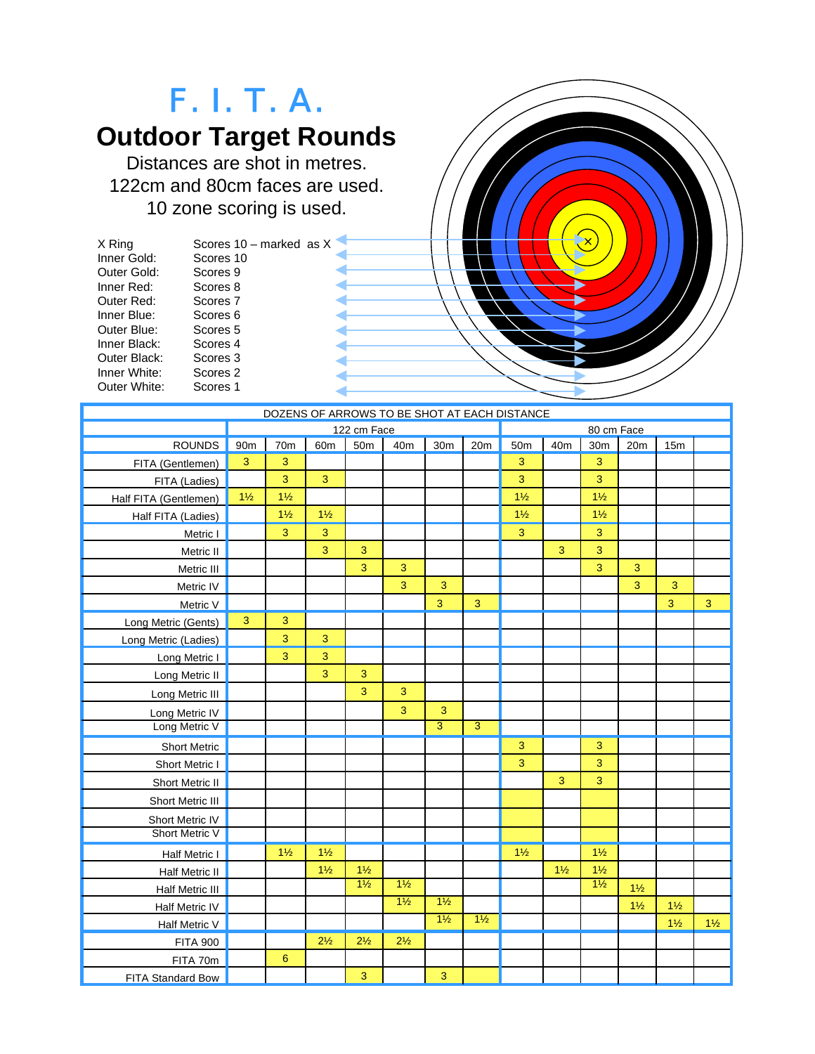

| DOZENS OF ARROWS TO BE SHOT AT EACH DISTANCE |                |                  |                 |                |                |                 |                |                |                |                 |                |                |                |
|----------------------------------------------|----------------|------------------|-----------------|----------------|----------------|-----------------|----------------|----------------|----------------|-----------------|----------------|----------------|----------------|
|                                              | 122 cm Face    |                  |                 |                |                | 80 cm Face      |                |                |                |                 |                |                |                |
| ROUNDS                                       | 90m            | 70m              | 60 <sub>m</sub> | 50m            | 40m            | 30 <sub>m</sub> | 20m            | 50m            | 40m            | 30 <sub>m</sub> | 20m            | 15m            |                |
| FITA (Gentlemen)                             | 3              | 3                |                 |                |                |                 |                | 3              |                | 3               |                |                |                |
| FITA (Ladies)                                |                | 3                | 3               |                |                |                 |                | 3              |                | 3               |                |                |                |
| Half FITA (Gentlemen)                        | $1\frac{1}{2}$ | $1\frac{1}{2}$   |                 |                |                |                 |                | $1\frac{1}{2}$ |                | $1\frac{1}{2}$  |                |                |                |
| Half FITA (Ladies)                           |                | $1\frac{1}{2}$   | $1\frac{1}{2}$  |                |                |                 |                | $1\frac{1}{2}$ |                | $1\frac{1}{2}$  |                |                |                |
| Metric I                                     |                | 3                | 3               |                |                |                 |                | 3              |                | 3               |                |                |                |
| Metric II                                    |                |                  | 3               | 3              |                |                 |                |                | 3              | 3               |                |                |                |
| Metric III                                   |                |                  |                 | 3              | 3              |                 |                |                |                | 3               | 3              |                |                |
| Metric IV                                    |                |                  |                 |                | 3              | 3               |                |                |                |                 | 3              | 3              |                |
| Metric V                                     |                |                  |                 |                |                | 3               | 3              |                |                |                 |                | 3              | $\overline{3}$ |
| Long Metric (Gents)                          | $\mathbf{3}$   | 3                |                 |                |                |                 |                |                |                |                 |                |                |                |
| Long Metric (Ladies)                         |                | 3                | 3               |                |                |                 |                |                |                |                 |                |                |                |
| Long Metric I                                |                | 3                | 3               |                |                |                 |                |                |                |                 |                |                |                |
| Long Metric II                               |                |                  | 3               | 3              |                |                 |                |                |                |                 |                |                |                |
| Long Metric III                              |                |                  |                 | $\overline{3}$ | 3              |                 |                |                |                |                 |                |                |                |
| Long Metric IV                               |                |                  |                 |                | 3              | 3               |                |                |                |                 |                |                |                |
| Long Metric V                                |                |                  |                 |                |                | $\overline{3}$  | $\overline{3}$ |                |                |                 |                |                |                |
| <b>Short Metric</b>                          |                |                  |                 |                |                |                 |                | 3              |                | 3               |                |                |                |
| Short Metric I                               |                |                  |                 |                |                |                 |                | 3              |                | 3               |                |                |                |
| Short Metric II                              |                |                  |                 |                |                |                 |                |                | 3              | 3               |                |                |                |
| Short Metric III                             |                |                  |                 |                |                |                 |                |                |                |                 |                |                |                |
| Short Metric IV                              |                |                  |                 |                |                |                 |                |                |                |                 |                |                |                |
| Short Metric V                               |                |                  |                 |                |                |                 |                |                |                |                 |                |                |                |
| Half Metric I                                |                | $1\frac{1}{2}$   | $1\frac{1}{2}$  |                |                |                 |                | $1\frac{1}{2}$ |                | $1\frac{1}{2}$  |                |                |                |
| Half Metric II                               |                |                  | $1\frac{1}{2}$  | $1\frac{1}{2}$ |                |                 |                |                | $1\frac{1}{2}$ | $1\frac{1}{2}$  |                |                |                |
| Half Metric III                              |                |                  |                 | $1\frac{1}{2}$ | $1\frac{1}{2}$ |                 |                |                |                | $1\frac{1}{2}$  | $1\frac{1}{2}$ |                |                |
| Half Metric IV                               |                |                  |                 |                | $1\frac{1}{2}$ | $1\frac{1}{2}$  |                |                |                |                 | $1\frac{1}{2}$ | $1\frac{1}{2}$ |                |
| Half Metric V                                |                |                  |                 |                |                | $1\frac{1}{2}$  | $1\frac{1}{2}$ |                |                |                 |                | $1\frac{1}{2}$ | $1\frac{1}{2}$ |
| <b>FITA 900</b>                              |                |                  | $2\frac{1}{2}$  | $2\frac{1}{2}$ | $2\frac{1}{2}$ |                 |                |                |                |                 |                |                |                |
| FITA 70m                                     |                | $\boldsymbol{6}$ |                 |                |                |                 |                |                |                |                 |                |                |                |
| FITA Standard Bow                            |                |                  |                 | 3              |                | 3               |                |                |                |                 |                |                |                |